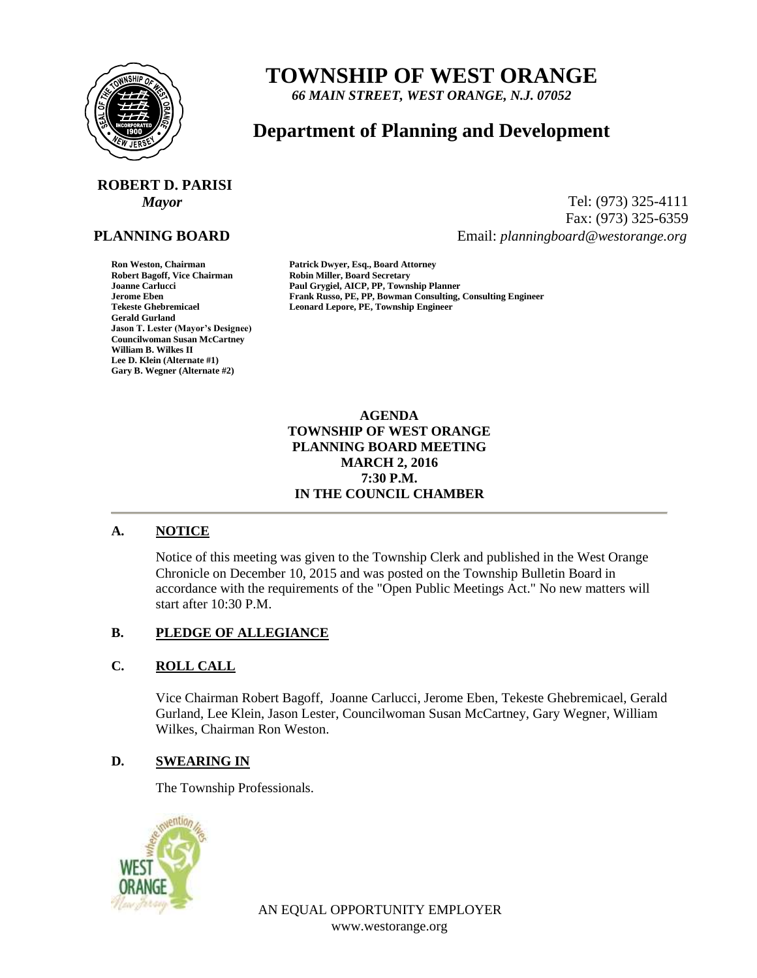

## **TOWNSHIP OF WEST ORANGE**

*66 MAIN STREET, WEST ORANGE, N.J. 07052*

### **Department of Planning and Development**

# **ROBERT D. PARISI**

#### **PLANNING BOARD**

**Gerald Gurland Jason T. Lester (Mayor's Designee) Councilwoman Susan McCartney William B. Wilkes II Lee D. Klein (Alternate #1) Gary B. Wegner (Alternate #2)**

*Mayor* Tel: (973) 325-4111 Fax: (973) 325-6359 Email: *planningboard@westorange.org*

**Ron Weston, Chairman Patrick Dwyer, Esq., Board Attorney Robin Miller, Board Secretary Joanne Carlucci Paul Grygiel, AICP, PP, Township Planner Jerome Eben Frank Russo, PE, PP, Bowman Consulting, Consulting Engineer** Leonard Lepore, PE, Township **Engineer** 

#### **AGENDA TOWNSHIP OF WEST ORANGE PLANNING BOARD MEETING MARCH 2, 2016 7:30 P.M. IN THE COUNCIL CHAMBER**

#### **A. NOTICE**

Notice of this meeting was given to the Township Clerk and published in the West Orange Chronicle on December 10, 2015 and was posted on the Township Bulletin Board in accordance with the requirements of the "Open Public Meetings Act." No new matters will start after 10:30 P.M.

#### **B. PLEDGE OF ALLEGIANCE**

#### **C. ROLL CALL**

Vice Chairman Robert Bagoff, Joanne Carlucci, Jerome Eben, Tekeste Ghebremicael, Gerald Gurland, Lee Klein, Jason Lester, Councilwoman Susan McCartney, Gary Wegner, William Wilkes, Chairman Ron Weston.

#### **D. SWEARING IN**

The Township Professionals.



AN EQUAL OPPORTUNITY EMPLOYER www.westorange.org